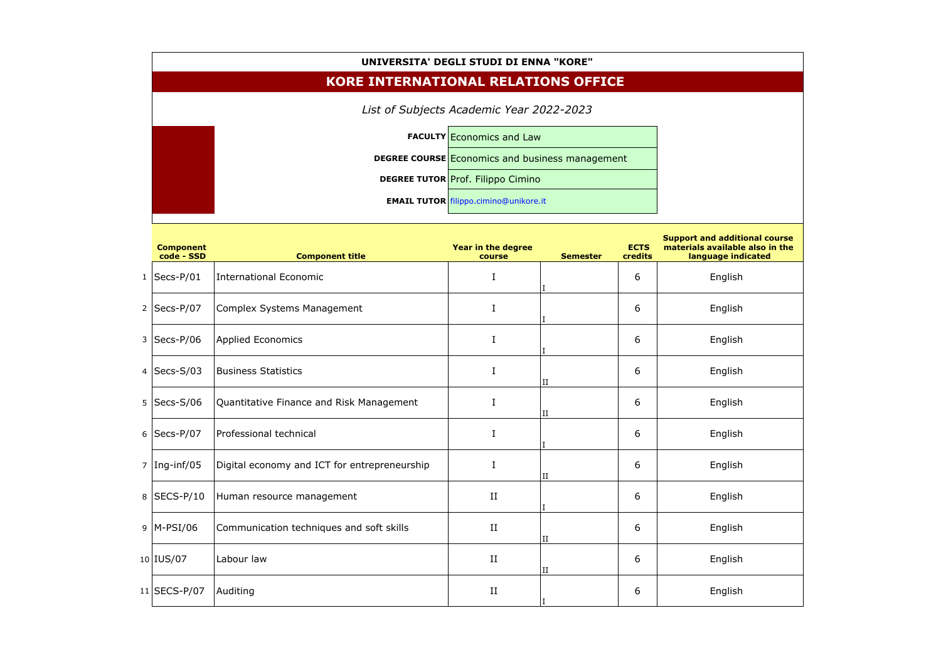

| UNIVERSITA' DEGLI STUDI DI ENNA "KORE"     |                                                        |                                  |                 |                        |                                                                                               |  |  |  |  |  |  |
|--------------------------------------------|--------------------------------------------------------|----------------------------------|-----------------|------------------------|-----------------------------------------------------------------------------------------------|--|--|--|--|--|--|
| <b>KORE INTERNATIONAL RELATIONS OFFICE</b> |                                                        |                                  |                 |                        |                                                                                               |  |  |  |  |  |  |
| List of Subjects Academic Year 2022-2023   |                                                        |                                  |                 |                        |                                                                                               |  |  |  |  |  |  |
|                                            |                                                        | <b>FACULTY Economics and Law</b> |                 |                        |                                                                                               |  |  |  |  |  |  |
|                                            | <b>DEGREE COURSE ECONOMICS and business management</b> |                                  |                 |                        |                                                                                               |  |  |  |  |  |  |
|                                            | <b>DEGREE TUTOR Prof. Filippo Cimino</b>               |                                  |                 |                        |                                                                                               |  |  |  |  |  |  |
|                                            | <b>EMAIL TUTOR</b> filippo.cimino@unikore.it           |                                  |                 |                        |                                                                                               |  |  |  |  |  |  |
| <b>Component</b><br>code - SSD             | <b>Component title</b>                                 | Year in the degree<br>course     | <b>Semester</b> | <b>ECTS</b><br>credits | <b>Support and additional course</b><br>materials available also in the<br>language indicated |  |  |  |  |  |  |
| $1$ Secs-P/01                              | International Economic                                 | I                                |                 | 6                      | English                                                                                       |  |  |  |  |  |  |
| 2   Secs-P/07                              | Complex Systems Management                             | I                                |                 | 6                      | English                                                                                       |  |  |  |  |  |  |
| $3$ Secs-P/06                              | <b>Applied Economics</b>                               | $\mathsf{T}$                     |                 | 6                      | English                                                                                       |  |  |  |  |  |  |
| 4   Secs-S/03                              | <b>Business Statistics</b>                             | I                                | II              | 6                      | English                                                                                       |  |  |  |  |  |  |
| $5$ Secs-S/06                              | Quantitative Finance and Risk Management               |                                  | $\rm II$        | 6                      | English                                                                                       |  |  |  |  |  |  |
| $6$ Secs-P/07                              | Professional technical                                 | $\bf{I}$                         |                 | 6                      | English                                                                                       |  |  |  |  |  |  |
| $7 \vert$ Ing-inf/05                       | Digital economy and ICT for entrepreneurship           | $\bf I$                          | $_{\rm II}$     | 6                      | English                                                                                       |  |  |  |  |  |  |
| 8 SECS-P/10                                | Human resource management                              | $\;$ II                          |                 | 6                      | English                                                                                       |  |  |  |  |  |  |
| $9$ M-PSI/06                               | Communication techniques and soft skills               | $\rm II$                         | $_{\rm II}$     | 6                      | English                                                                                       |  |  |  |  |  |  |
| $10$ IUS/07                                | Labour law                                             | $\rm II$                         | $_{\rm II}$     | 6                      | English                                                                                       |  |  |  |  |  |  |
| $11$ SECS-P/07                             | Auditing                                               | $\;$ II                          |                 | 6                      | English                                                                                       |  |  |  |  |  |  |